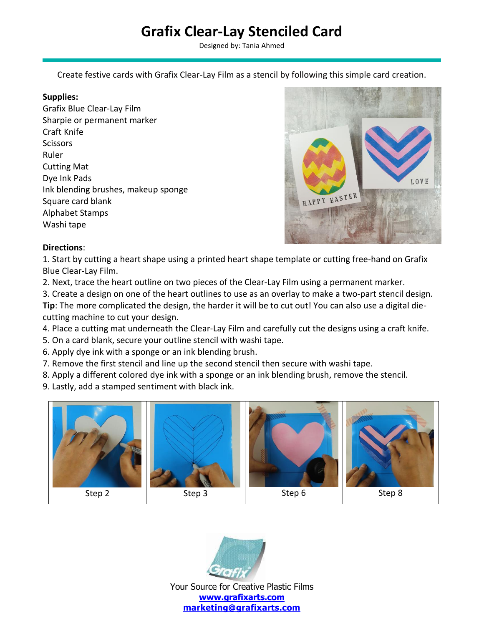## **Grafix Clear-Lay Stenciled Card**

Designed by: Tania Ahmed

Create festive cards with Grafix Clear-Lay Film as a stencil by following this simple card creation.

## **Supplies:**

Grafix Blue Clear-Lay Film Sharpie or permanent marker Craft Knife **Scissors** Ruler Cutting Mat Dye Ink Pads Ink blending brushes, makeup sponge Square card blank Alphabet Stamps Washi tape



## **Directions**:

1. Start by cutting a heart shape using a printed heart shape template or cutting free-hand on Grafix Blue Clear-Lay Film.

- 2. Next, trace the heart outline on two pieces of the Clear-Lay Film using a permanent marker.
- 3. Create a design on one of the heart outlines to use as an overlay to make a two-part stencil design.

**Tip**: The more complicated the design, the harder it will be to cut out! You can also use a digital diecutting machine to cut your design.

- 4. Place a cutting mat underneath the Clear-Lay Film and carefully cut the designs using a craft knife.
- 5. On a card blank, secure your outline stencil with washi tape.
- 6. Apply dye ink with a sponge or an ink blending brush.
- 7. Remove the first stencil and line up the second stencil then secure with washi tape.
- 8. Apply a different colored dye ink with a sponge or an ink blending brush, remove the stencil.
- 9. Lastly, add a stamped sentiment with black ink.